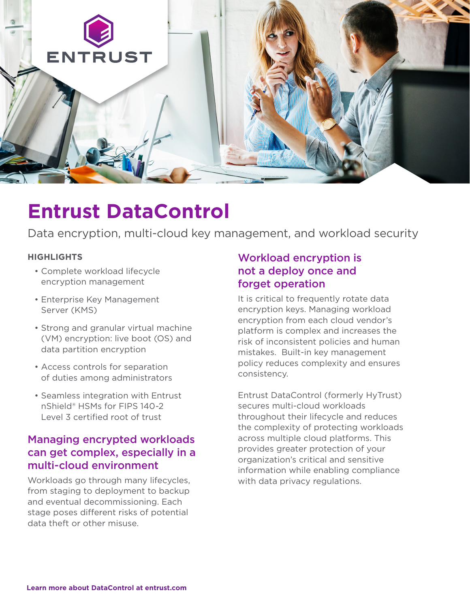

# **Entrust DataControl**

Data encryption, multi-cloud key management, and workload security

#### **HIGHLIGHTS**

- Complete workload lifecycle encryption management
- Enterprise Key Management Server (KMS)
- Strong and granular virtual machine (VM) encryption: live boot (OS) and data partition encryption
- Access controls for separation of duties among administrators
- Seamless integration with Entrust nShield® HSMs for FIPS 140-2 Level 3 certified root of trust

## Managing encrypted workloads can get complex, especially in a multi-cloud environment

Workloads go through many lifecycles, from staging to deployment to backup and eventual decommissioning. Each stage poses different risks of potential data theft or other misuse.

### Workload encryption is not a deploy once and forget operation

It is critical to frequently rotate data encryption keys. Managing workload encryption from each cloud vendor's platform is complex and increases the risk of inconsistent policies and human mistakes. Built-in key management policy reduces complexity and ensures consistency.

Entrust DataControl (formerly HyTrust) secures multi-cloud workloads throughout their lifecycle and reduces the complexity of protecting workloads across multiple cloud platforms. This provides greater protection of your organization's critical and sensitive information while enabling compliance with data privacy regulations.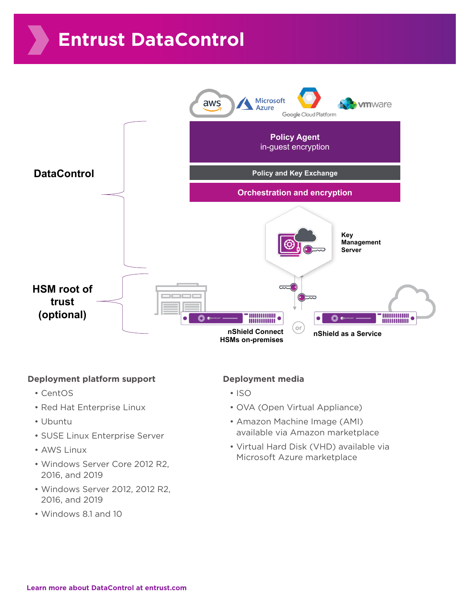# **Entrust DataControl**



#### **Deployment platform support**

- CentOS
- Red Hat Enterprise Linux
- Ubuntu
- SUSE Linux Enterprise Server
- AWS Linux
- Windows Server Core 2012 R2, 2016, and 2019
- Windows Server 2012, 2012 R2, 2016, and 2019
- Windows 8.1 and 10

#### **Deployment media**

- ISO
- OVA (Open Virtual Appliance)
- Amazon Machine Image (AMI) available via Amazon marketplace
- Virtual Hard Disk (VHD) available via Microsoft Azure marketplace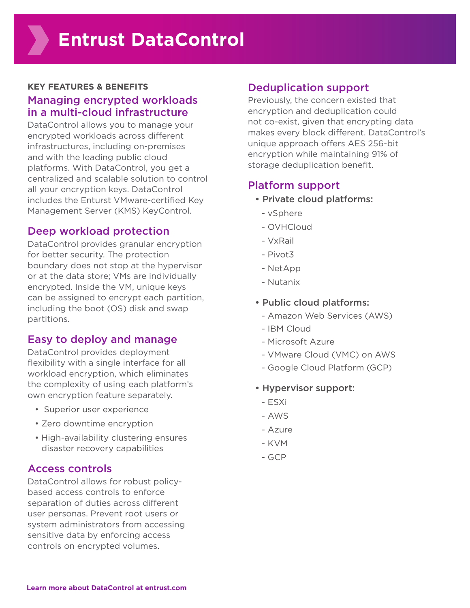#### **KEY FEATURES & BENEFITS** Managing encrypted workloads in a multi-cloud infrastructure

DataControl allows you to manage your encrypted workloads across different infrastructures, including on-premises and with the leading public cloud platforms. With DataControl, you get a centralized and scalable solution to control all your encryption keys. DataControl includes the Enturst VMware-certified Key Management Server (KMS) KeyControl.

### Deep workload protection

DataControl provides granular encryption for better security. The protection boundary does not stop at the hypervisor or at the data store; VMs are individually encrypted. Inside the VM, unique keys can be assigned to encrypt each partition, including the boot (OS) disk and swap partitions.

### Easy to deploy and manage

DataControl provides deployment flexibility with a single interface for all workload encryption, which eliminates the complexity of using each platform's own encryption feature separately.

- Superior user experience
- Zero downtime encryption
- High-availability clustering ensures disaster recovery capabilities

#### Access controls

DataControl allows for robust policybased access controls to enforce separation of duties across different user personas. Prevent root users or system administrators from accessing sensitive data by enforcing access controls on encrypted volumes.

#### Deduplication support

Previously, the concern existed that encryption and deduplication could not co-exist, given that encrypting data makes every block different. DataControl's unique approach offers AES 256-bit encryption while maintaining 91% of storage deduplication benefit.

#### Platform support

- Private cloud platforms:
	- vSphere
	- OVHCloud
	- VxRail
	- Pivot3
	- NetApp
	- Nutanix
- Public cloud platforms:
	- Amazon Web Services (AWS)
	- IBM Cloud
	- Microsoft Azure
	- VMware Cloud (VMC) on AWS
	- Google Cloud Platform (GCP)
- Hypervisor support:
	- ESXi
	- AWS
	- Azure
	- KVM
	- GCP